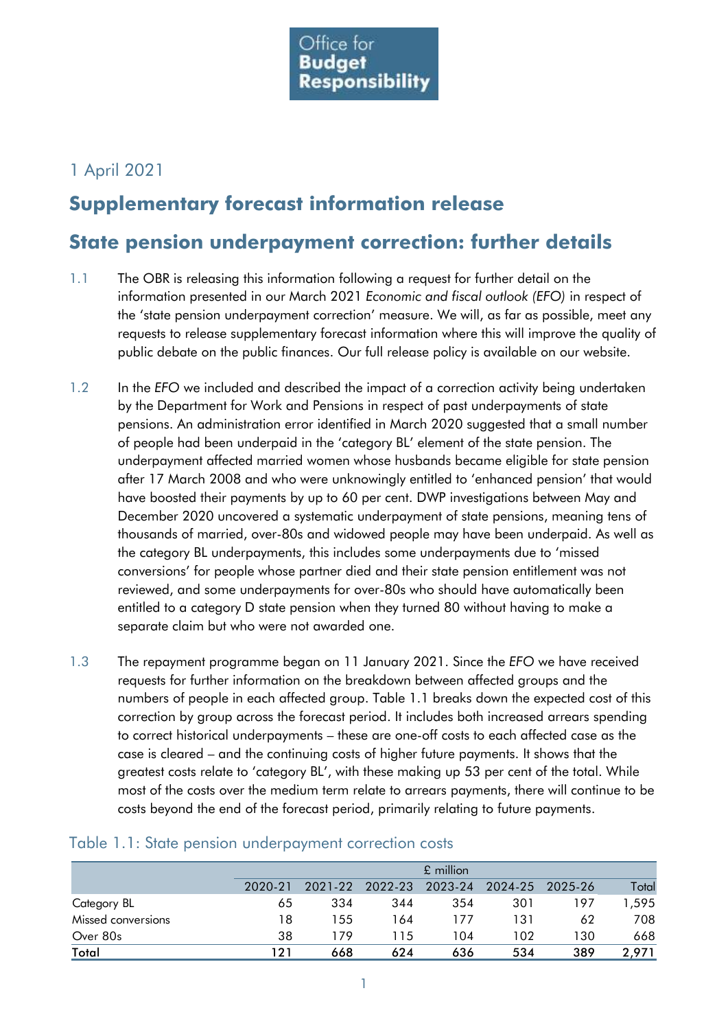

## 1 April 2021

## **Supplementary forecast information release**

## **State pension underpayment correction: further details**

- 1.1 The OBR is releasing this information following a request for further detail on the information presented in our March 2021 *Economic and fiscal outlook (EFO)* in respect of the 'state pension underpayment correction' measure. We will, as far as possible, meet any requests to release supplementary forecast information where this will improve the quality of public debate on the public finances. Our full release policy is available on our website.
- 1.2 In the *EFO* we included and described the impact of a correction activity being undertaken by the Department for Work and Pensions in respect of past underpayments of state pensions. An administration error identified in March 2020 suggested that a small number of people had been underpaid in the 'category BL' element of the state pension. The underpayment affected married women whose husbands became eligible for state pension after 17 March 2008 and who were unknowingly entitled to 'enhanced pension' that would have boosted their payments by up to 60 per cent. DWP investigations between May and December 2020 uncovered a systematic underpayment of state pensions, meaning tens of thousands of married, over-80s and widowed people may have been underpaid. As well as the category BL underpayments, this includes some underpayments due to 'missed conversions' for people whose partner died and their state pension entitlement was not reviewed, and some underpayments for over-80s who should have automatically been entitled to a category D state pension when they turned 80 without having to make a separate claim but who were not awarded one.
- 1.3 The repayment programme began on 11 January 2021. Since the *EFO* we have received requests for further information on the breakdown between affected groups and the numbers of people in each affected group. Table 1.1 breaks down the expected cost of this correction by group across the forecast period. It includes both increased arrears spending to correct historical underpayments – these are one-off costs to each affected case as the case is cleared – and the continuing costs of higher future payments. It shows that the greatest costs relate to 'category BL', with these making up 53 per cent of the total. While most of the costs over the medium term relate to arrears payments, there will continue to be costs beyond the end of the forecast period, primarily relating to future payments.

|                    |         | £ million |                 |         |                 |     |       |  |  |  |  |  |
|--------------------|---------|-----------|-----------------|---------|-----------------|-----|-------|--|--|--|--|--|
|                    | 2020-21 |           | 2021-22 2022-23 | 2023-24 | 2024-25 2025-26 |     | Total |  |  |  |  |  |
| Category BL        | 65      | 334       | 344             | 354     | 301             | 197 | 1,595 |  |  |  |  |  |
| Missed conversions | 18      | 155       | 164             | 177     | 131             | 62  | 708   |  |  |  |  |  |
| Over 80s           | 38      | 179       | 115             | 104     | 102             | 130 | 668   |  |  |  |  |  |
| Total              | 121     | 668       | 624             | 636     | 534             | 389 | 2,971 |  |  |  |  |  |

## Table 1.1: State pension underpayment correction costs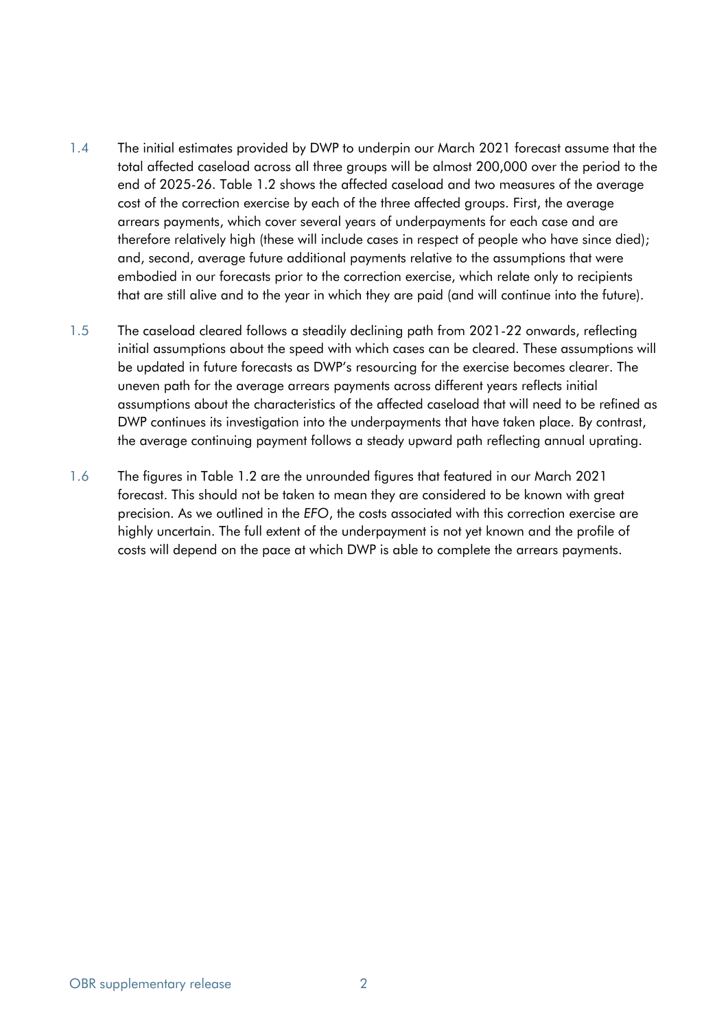- 1.4 The initial estimates provided by DWP to underpin our March 2021 forecast assume that the total affected caseload across all three groups will be almost 200,000 over the period to the end of 2025-26. Table 1.2 shows the affected caseload and two measures of the average cost of the correction exercise by each of the three affected groups. First, the average arrears payments, which cover several years of underpayments for each case and are therefore relatively high (these will include cases in respect of people who have since died); and, second, average future additional payments relative to the assumptions that were embodied in our forecasts prior to the correction exercise, which relate only to recipients that are still alive and to the year in which they are paid (and will continue into the future).
- 1.5 The caseload cleared follows a steadily declining path from 2021-22 onwards, reflecting initial assumptions about the speed with which cases can be cleared. These assumptions will be updated in future forecasts as DWP's resourcing for the exercise becomes clearer. The uneven path for the average arrears payments across different years reflects initial assumptions about the characteristics of the affected caseload that will need to be refined as DWP continues its investigation into the underpayments that have taken place. By contrast, the average continuing payment follows a steady upward path reflecting annual uprating.
- 1.6 The figures in Table 1.2 are the unrounded figures that featured in our March 2021 forecast. This should not be taken to mean they are considered to be known with great precision. As we outlined in the *EFO*, the costs associated with this correction exercise are highly uncertain. The full extent of the underpayment is not yet known and the profile of costs will depend on the pace at which DWP is able to complete the arrears payments.